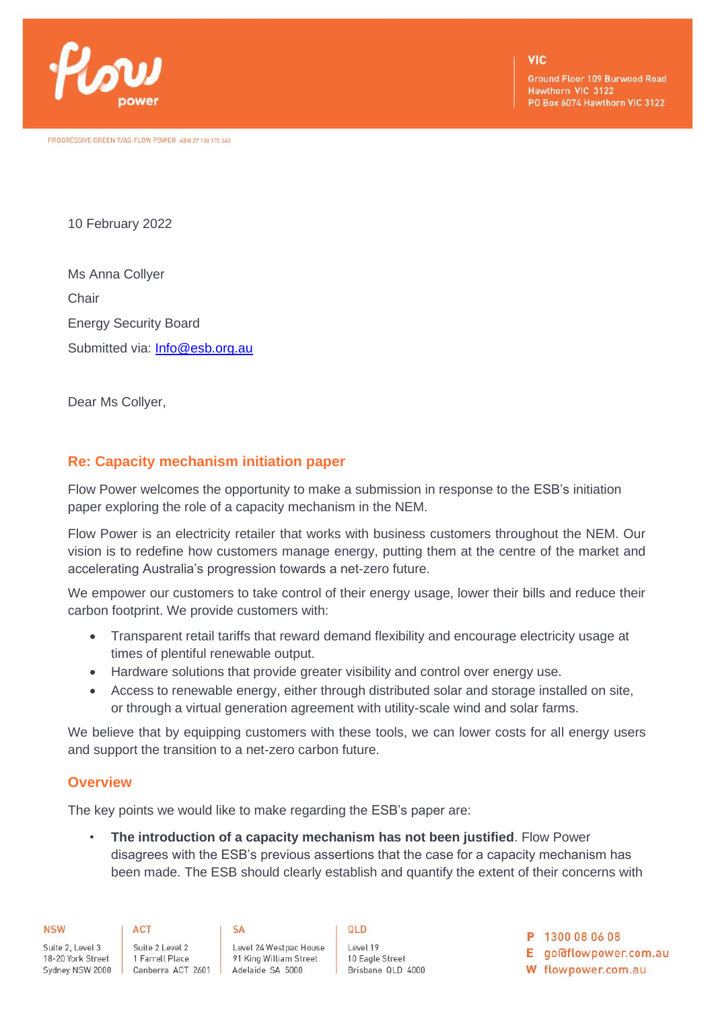

PROGRESSIVE GREEN T/AS FLOW POWER ABN 27 130 175 343

**Ground Floor 109 Burwood Road** Hawthorn VIC 3122 PO Box 6074 Hawthorn VIC 3122

10 February 2022

Ms Anna Collyer **Chair** Energy Security Board Submitted via: [Info@esb.org.au](mailto:Info@esb.org.au)

Dear Ms Collyer,

# **Re: Capacity mechanism initiation paper**

Flow Power welcomes the opportunity to make a submission in response to the ESB's initiation paper exploring the role of a capacity mechanism in the NEM.

Flow Power is an electricity retailer that works with business customers throughout the NEM. Our vision is to redefine how customers manage energy, putting them at the centre of the market and accelerating Australia's progression towards a net-zero future.

We empower our customers to take control of their energy usage, lower their bills and reduce their carbon footprint. We provide customers with:

- Transparent retail tariffs that reward demand flexibility and encourage electricity usage at times of plentiful renewable output.
- Hardware solutions that provide greater visibility and control over energy use.
- Access to renewable energy, either through distributed solar and storage installed on site, or through a virtual generation agreement with utility-scale wind and solar farms.

We believe that by equipping customers with these tools, we can lower costs for all energy users and support the transition to a net-zero carbon future.

## **Overview**

The key points we would like to make regarding the ESB's paper are:

• **The introduction of a capacity mechanism has not been justified**. Flow Power disagrees with the ESB's previous assertions that the case for a capacity mechanism has been made. The ESB should clearly establish and quantify the extent of their concerns with

QLD

| <b>NSW</b>        | ACT               | SΑ                     |
|-------------------|-------------------|------------------------|
| Suite 2, Level 3  | Suite 2 Level 2   | Level 24 Westpac House |
| 18-20 York Street | 1 Farrell Place   | 91 King William Street |
| Sydney NSW 2000   | Canberra ACT 2601 | Adelaide SA 5000       |

Level 19 10 Eagle Street Brisbane QLD 4000 P 1300 08 06 08

E go@flowpower.com.au

W flowpower.com.au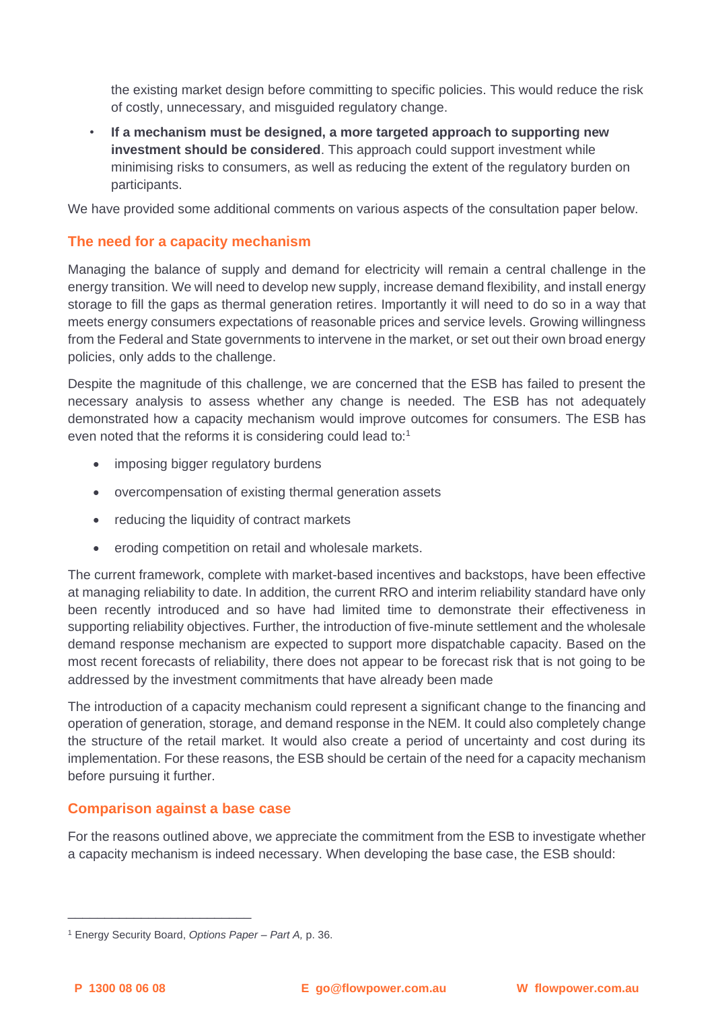the existing market design before committing to specific policies. This would reduce the risk of costly, unnecessary, and misguided regulatory change.

• **If a mechanism must be designed, a more targeted approach to supporting new investment should be considered**. This approach could support investment while minimising risks to consumers, as well as reducing the extent of the regulatory burden on participants.

We have provided some additional comments on various aspects of the consultation paper below.

# **The need for a capacity mechanism**

Managing the balance of supply and demand for electricity will remain a central challenge in the energy transition. We will need to develop new supply, increase demand flexibility, and install energy storage to fill the gaps as thermal generation retires. Importantly it will need to do so in a way that meets energy consumers expectations of reasonable prices and service levels. Growing willingness from the Federal and State governments to intervene in the market, or set out their own broad energy policies, only adds to the challenge.

Despite the magnitude of this challenge, we are concerned that the ESB has failed to present the necessary analysis to assess whether any change is needed. The ESB has not adequately demonstrated how a capacity mechanism would improve outcomes for consumers. The ESB has even noted that the reforms it is considering could lead to:<sup>1</sup>

- imposing bigger regulatory burdens
- overcompensation of existing thermal generation assets
- reducing the liquidity of contract markets
- eroding competition on retail and wholesale markets.

The current framework, complete with market-based incentives and backstops, have been effective at managing reliability to date. In addition, the current RRO and interim reliability standard have only been recently introduced and so have had limited time to demonstrate their effectiveness in supporting reliability objectives. Further, the introduction of five-minute settlement and the wholesale demand response mechanism are expected to support more dispatchable capacity. Based on the most recent forecasts of reliability, there does not appear to be forecast risk that is not going to be addressed by the investment commitments that have already been made

The introduction of a capacity mechanism could represent a significant change to the financing and operation of generation, storage, and demand response in the NEM. It could also completely change the structure of the retail market. It would also create a period of uncertainty and cost during its implementation. For these reasons, the ESB should be certain of the need for a capacity mechanism before pursuing it further.

## **Comparison against a base case**

\_\_\_\_\_\_\_\_\_\_\_\_\_\_\_\_\_\_\_\_\_\_\_\_\_

For the reasons outlined above, we appreciate the commitment from the ESB to investigate whether a capacity mechanism is indeed necessary. When developing the base case, the ESB should:

<sup>1</sup> Energy Security Board, *Options Paper – Part A,* p. 36.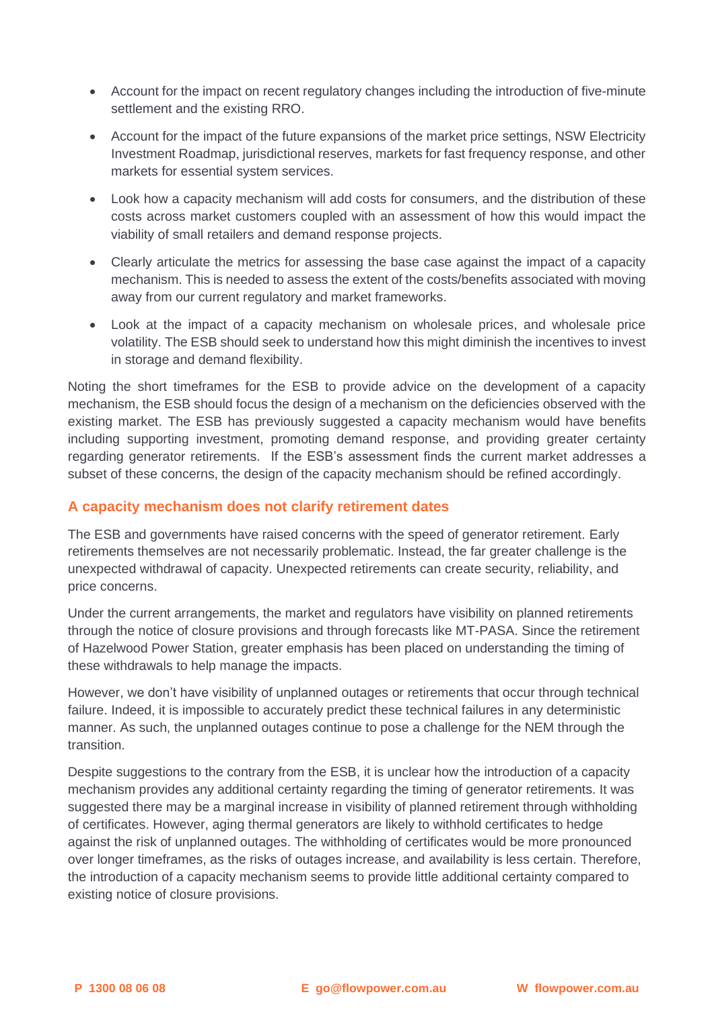- Account for the impact on recent regulatory changes including the introduction of five-minute settlement and the existing RRO.
- Account for the impact of the future expansions of the market price settings, NSW Electricity Investment Roadmap, jurisdictional reserves, markets for fast frequency response, and other markets for essential system services.
- Look how a capacity mechanism will add costs for consumers, and the distribution of these costs across market customers coupled with an assessment of how this would impact the viability of small retailers and demand response projects.
- Clearly articulate the metrics for assessing the base case against the impact of a capacity mechanism. This is needed to assess the extent of the costs/benefits associated with moving away from our current regulatory and market frameworks.
- Look at the impact of a capacity mechanism on wholesale prices, and wholesale price volatility. The ESB should seek to understand how this might diminish the incentives to invest in storage and demand flexibility.

Noting the short timeframes for the ESB to provide advice on the development of a capacity mechanism, the ESB should focus the design of a mechanism on the deficiencies observed with the existing market. The ESB has previously suggested a capacity mechanism would have benefits including supporting investment, promoting demand response, and providing greater certainty regarding generator retirements. If the ESB's assessment finds the current market addresses a subset of these concerns, the design of the capacity mechanism should be refined accordingly.

## **A capacity mechanism does not clarify retirement dates**

The ESB and governments have raised concerns with the speed of generator retirement. Early retirements themselves are not necessarily problematic. Instead, the far greater challenge is the unexpected withdrawal of capacity. Unexpected retirements can create security, reliability, and price concerns.

Under the current arrangements, the market and regulators have visibility on planned retirements through the notice of closure provisions and through forecasts like MT-PASA. Since the retirement of Hazelwood Power Station, greater emphasis has been placed on understanding the timing of these withdrawals to help manage the impacts.

However, we don't have visibility of unplanned outages or retirements that occur through technical failure. Indeed, it is impossible to accurately predict these technical failures in any deterministic manner. As such, the unplanned outages continue to pose a challenge for the NEM through the transition.

Despite suggestions to the contrary from the ESB, it is unclear how the introduction of a capacity mechanism provides any additional certainty regarding the timing of generator retirements. It was suggested there may be a marginal increase in visibility of planned retirement through withholding of certificates. However, aging thermal generators are likely to withhold certificates to hedge against the risk of unplanned outages. The withholding of certificates would be more pronounced over longer timeframes, as the risks of outages increase, and availability is less certain. Therefore, the introduction of a capacity mechanism seems to provide little additional certainty compared to existing notice of closure provisions.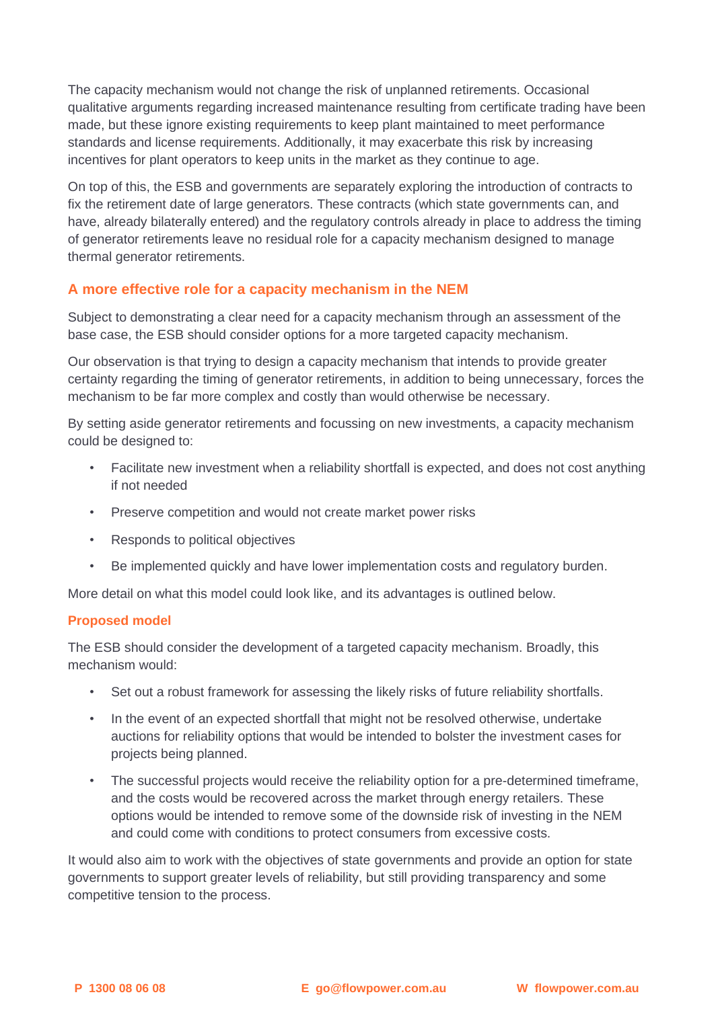The capacity mechanism would not change the risk of unplanned retirements. Occasional qualitative arguments regarding increased maintenance resulting from certificate trading have been made, but these ignore existing requirements to keep plant maintained to meet performance standards and license requirements. Additionally, it may exacerbate this risk by increasing incentives for plant operators to keep units in the market as they continue to age.

On top of this, the ESB and governments are separately exploring the introduction of contracts to fix the retirement date of large generators. These contracts (which state governments can, and have, already bilaterally entered) and the regulatory controls already in place to address the timing of generator retirements leave no residual role for a capacity mechanism designed to manage thermal generator retirements.

# **A more effective role for a capacity mechanism in the NEM**

Subject to demonstrating a clear need for a capacity mechanism through an assessment of the base case, the ESB should consider options for a more targeted capacity mechanism.

Our observation is that trying to design a capacity mechanism that intends to provide greater certainty regarding the timing of generator retirements, in addition to being unnecessary, forces the mechanism to be far more complex and costly than would otherwise be necessary.

By setting aside generator retirements and focussing on new investments, a capacity mechanism could be designed to:

- Facilitate new investment when a reliability shortfall is expected, and does not cost anything if not needed
- Preserve competition and would not create market power risks
- Responds to political objectives
- Be implemented quickly and have lower implementation costs and regulatory burden.

More detail on what this model could look like, and its advantages is outlined below.

## **Proposed model**

The ESB should consider the development of a targeted capacity mechanism. Broadly, this mechanism would:

- Set out a robust framework for assessing the likely risks of future reliability shortfalls.
- In the event of an expected shortfall that might not be resolved otherwise, undertake auctions for reliability options that would be intended to bolster the investment cases for projects being planned.
- The successful projects would receive the reliability option for a pre-determined timeframe, and the costs would be recovered across the market through energy retailers. These options would be intended to remove some of the downside risk of investing in the NEM and could come with conditions to protect consumers from excessive costs.

It would also aim to work with the objectives of state governments and provide an option for state governments to support greater levels of reliability, but still providing transparency and some competitive tension to the process.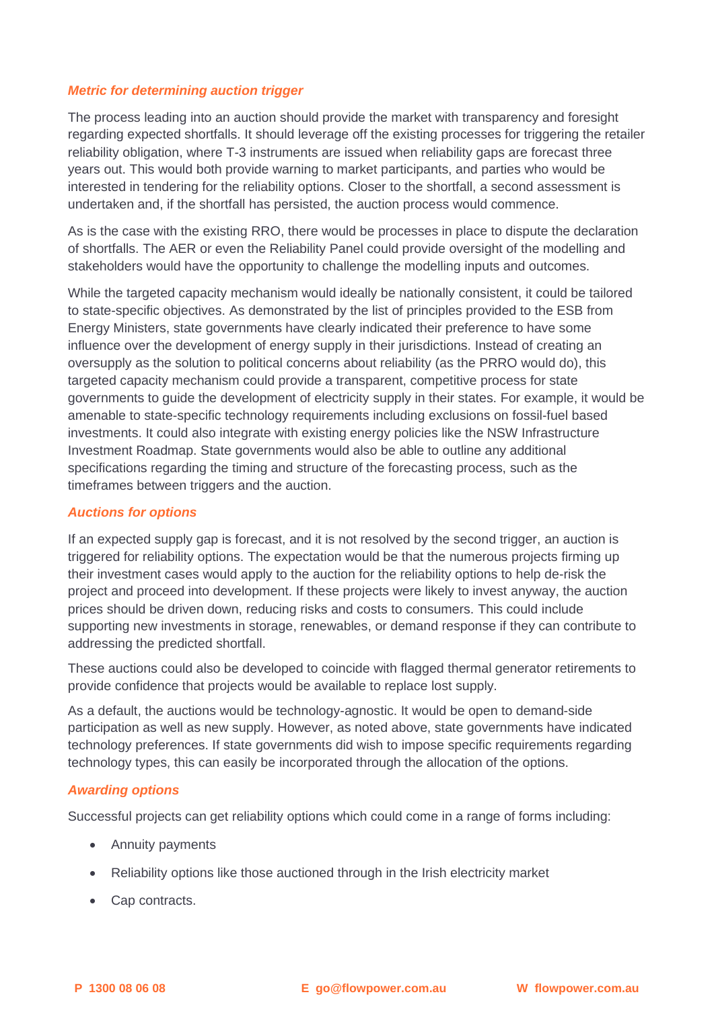## *Metric for determining auction trigger*

The process leading into an auction should provide the market with transparency and foresight regarding expected shortfalls. It should leverage off the existing processes for triggering the retailer reliability obligation, where T-3 instruments are issued when reliability gaps are forecast three years out. This would both provide warning to market participants, and parties who would be interested in tendering for the reliability options. Closer to the shortfall, a second assessment is undertaken and, if the shortfall has persisted, the auction process would commence.

As is the case with the existing RRO, there would be processes in place to dispute the declaration of shortfalls. The AER or even the Reliability Panel could provide oversight of the modelling and stakeholders would have the opportunity to challenge the modelling inputs and outcomes.

While the targeted capacity mechanism would ideally be nationally consistent, it could be tailored to state-specific objectives. As demonstrated by the list of principles provided to the ESB from Energy Ministers, state governments have clearly indicated their preference to have some influence over the development of energy supply in their jurisdictions. Instead of creating an oversupply as the solution to political concerns about reliability (as the PRRO would do), this targeted capacity mechanism could provide a transparent, competitive process for state governments to guide the development of electricity supply in their states. For example, it would be amenable to state-specific technology requirements including exclusions on fossil-fuel based investments. It could also integrate with existing energy policies like the NSW Infrastructure Investment Roadmap. State governments would also be able to outline any additional specifications regarding the timing and structure of the forecasting process, such as the timeframes between triggers and the auction.

## *Auctions for options*

If an expected supply gap is forecast, and it is not resolved by the second trigger, an auction is triggered for reliability options. The expectation would be that the numerous projects firming up their investment cases would apply to the auction for the reliability options to help de-risk the project and proceed into development. If these projects were likely to invest anyway, the auction prices should be driven down, reducing risks and costs to consumers. This could include supporting new investments in storage, renewables, or demand response if they can contribute to addressing the predicted shortfall.

These auctions could also be developed to coincide with flagged thermal generator retirements to provide confidence that projects would be available to replace lost supply.

As a default, the auctions would be technology-agnostic. It would be open to demand-side participation as well as new supply. However, as noted above, state governments have indicated technology preferences. If state governments did wish to impose specific requirements regarding technology types, this can easily be incorporated through the allocation of the options.

#### *Awarding options*

Successful projects can get reliability options which could come in a range of forms including:

- Annuity payments
- Reliability options like those auctioned through in the Irish electricity market
- Cap contracts.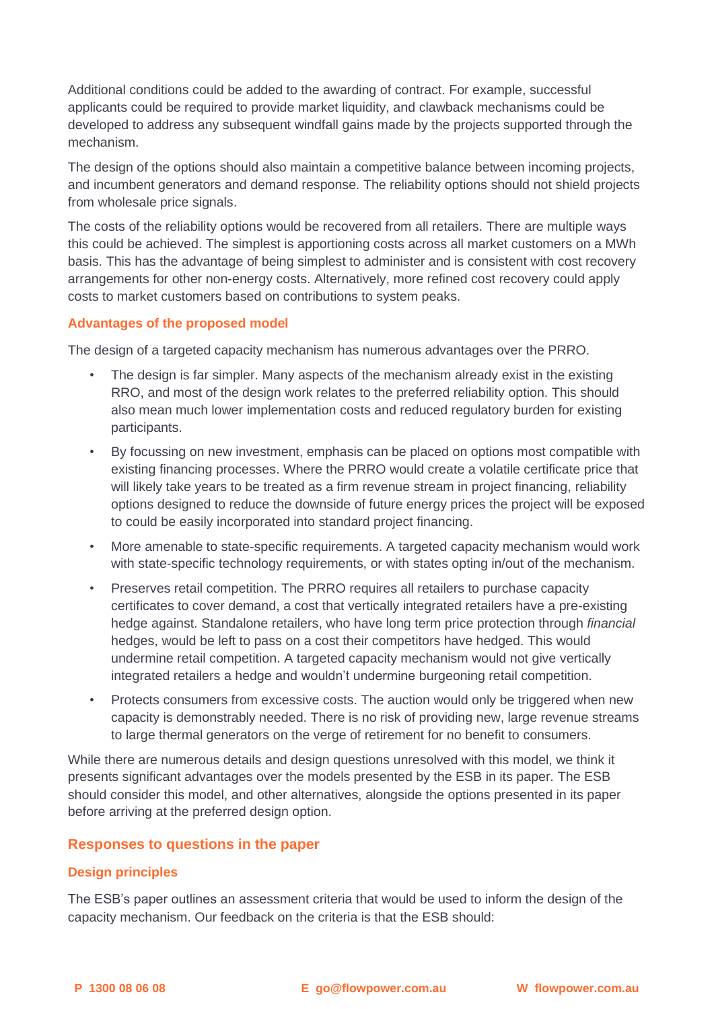Additional conditions could be added to the awarding of contract. For example, successful applicants could be required to provide market liquidity, and clawback mechanisms could be developed to address any subsequent windfall gains made by the projects supported through the mechanism.

The design of the options should also maintain a competitive balance between incoming projects, and incumbent generators and demand response. The reliability options should not shield projects from wholesale price signals.

The costs of the reliability options would be recovered from all retailers. There are multiple ways this could be achieved. The simplest is apportioning costs across all market customers on a MWh basis. This has the advantage of being simplest to administer and is consistent with cost recovery arrangements for other non-energy costs. Alternatively, more refined cost recovery could apply costs to market customers based on contributions to system peaks.

### **Advantages of the proposed model**

The design of a targeted capacity mechanism has numerous advantages over the PRRO.

- The design is far simpler. Many aspects of the mechanism already exist in the existing RRO, and most of the design work relates to the preferred reliability option. This should also mean much lower implementation costs and reduced regulatory burden for existing participants.
- By focussing on new investment, emphasis can be placed on options most compatible with existing financing processes. Where the PRRO would create a volatile certificate price that will likely take years to be treated as a firm revenue stream in project financing, reliability options designed to reduce the downside of future energy prices the project will be exposed to could be easily incorporated into standard project financing.
- More amenable to state-specific requirements. A targeted capacity mechanism would work with state-specific technology requirements, or with states opting in/out of the mechanism.
- Preserves retail competition. The PRRO requires all retailers to purchase capacity certificates to cover demand, a cost that vertically integrated retailers have a pre-existing hedge against. Standalone retailers, who have long term price protection through *financial*  hedges, would be left to pass on a cost their competitors have hedged. This would undermine retail competition. A targeted capacity mechanism would not give vertically integrated retailers a hedge and wouldn't undermine burgeoning retail competition.
- Protects consumers from excessive costs. The auction would only be triggered when new capacity is demonstrably needed. There is no risk of providing new, large revenue streams to large thermal generators on the verge of retirement for no benefit to consumers.

While there are numerous details and design questions unresolved with this model, we think it presents significant advantages over the models presented by the ESB in its paper. The ESB should consider this model, and other alternatives, alongside the options presented in its paper before arriving at the preferred design option.

## **Responses to questions in the paper**

## **Design principles**

The ESB's paper outlines an assessment criteria that would be used to inform the design of the capacity mechanism. Our feedback on the criteria is that the ESB should: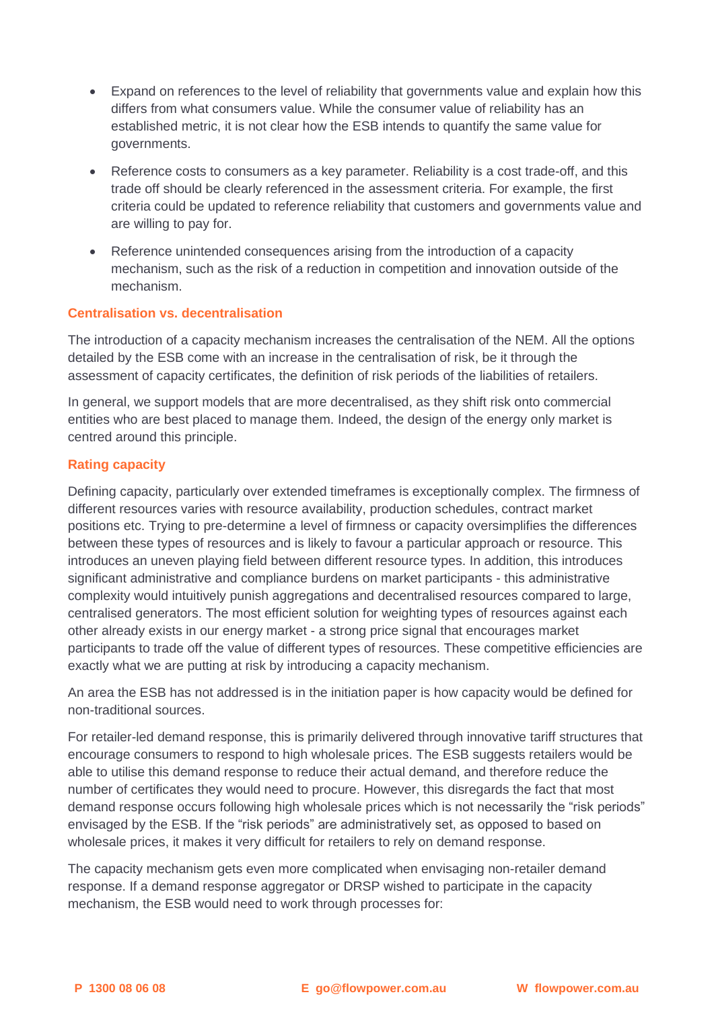- Expand on references to the level of reliability that governments value and explain how this differs from what consumers value. While the consumer value of reliability has an established metric, it is not clear how the ESB intends to quantify the same value for governments.
- Reference costs to consumers as a key parameter. Reliability is a cost trade-off, and this trade off should be clearly referenced in the assessment criteria. For example, the first criteria could be updated to reference reliability that customers and governments value and are willing to pay for.
- Reference unintended consequences arising from the introduction of a capacity mechanism, such as the risk of a reduction in competition and innovation outside of the mechanism.

## **Centralisation vs. decentralisation**

The introduction of a capacity mechanism increases the centralisation of the NEM. All the options detailed by the ESB come with an increase in the centralisation of risk, be it through the assessment of capacity certificates, the definition of risk periods of the liabilities of retailers.

In general, we support models that are more decentralised, as they shift risk onto commercial entities who are best placed to manage them. Indeed, the design of the energy only market is centred around this principle.

## **Rating capacity**

Defining capacity, particularly over extended timeframes is exceptionally complex. The firmness of different resources varies with resource availability, production schedules, contract market positions etc. Trying to pre-determine a level of firmness or capacity oversimplifies the differences between these types of resources and is likely to favour a particular approach or resource. This introduces an uneven playing field between different resource types. In addition, this introduces significant administrative and compliance burdens on market participants - this administrative complexity would intuitively punish aggregations and decentralised resources compared to large, centralised generators. The most efficient solution for weighting types of resources against each other already exists in our energy market - a strong price signal that encourages market participants to trade off the value of different types of resources. These competitive efficiencies are exactly what we are putting at risk by introducing a capacity mechanism.

An area the ESB has not addressed is in the initiation paper is how capacity would be defined for non-traditional sources.

For retailer-led demand response, this is primarily delivered through innovative tariff structures that encourage consumers to respond to high wholesale prices. The ESB suggests retailers would be able to utilise this demand response to reduce their actual demand, and therefore reduce the number of certificates they would need to procure. However, this disregards the fact that most demand response occurs following high wholesale prices which is not necessarily the "risk periods" envisaged by the ESB. If the "risk periods" are administratively set, as opposed to based on wholesale prices, it makes it very difficult for retailers to rely on demand response.

The capacity mechanism gets even more complicated when envisaging non-retailer demand response. If a demand response aggregator or DRSP wished to participate in the capacity mechanism, the ESB would need to work through processes for: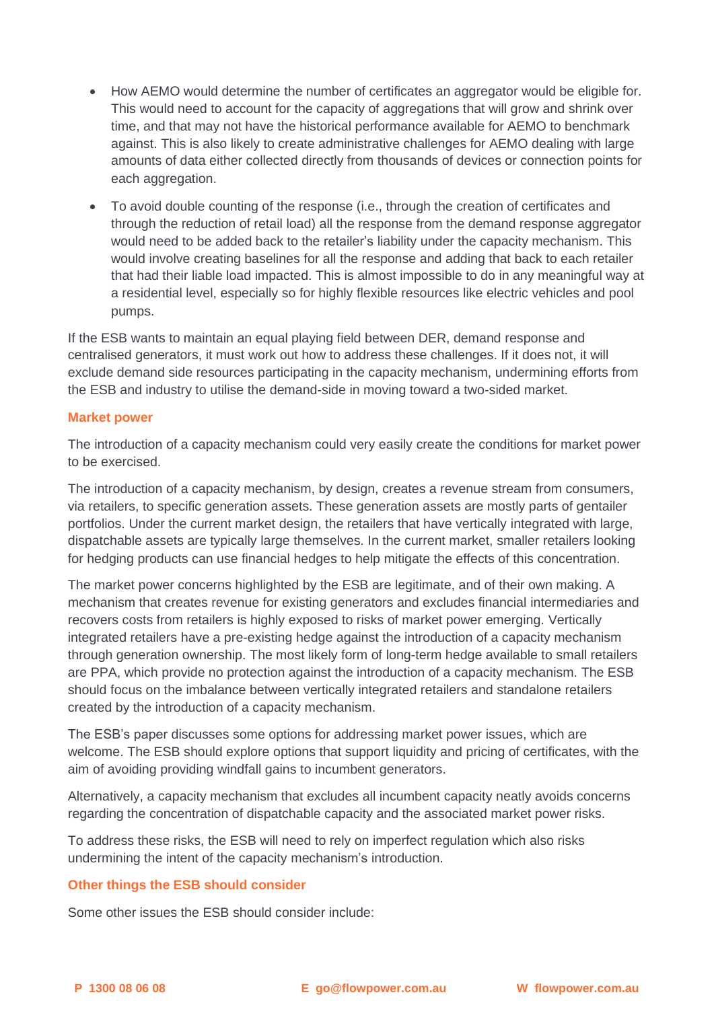- How AEMO would determine the number of certificates an aggregator would be eligible for. This would need to account for the capacity of aggregations that will grow and shrink over time, and that may not have the historical performance available for AEMO to benchmark against. This is also likely to create administrative challenges for AEMO dealing with large amounts of data either collected directly from thousands of devices or connection points for each aggregation.
- To avoid double counting of the response (i.e., through the creation of certificates and through the reduction of retail load) all the response from the demand response aggregator would need to be added back to the retailer's liability under the capacity mechanism. This would involve creating baselines for all the response and adding that back to each retailer that had their liable load impacted. This is almost impossible to do in any meaningful way at a residential level, especially so for highly flexible resources like electric vehicles and pool pumps.

If the ESB wants to maintain an equal playing field between DER, demand response and centralised generators, it must work out how to address these challenges. If it does not, it will exclude demand side resources participating in the capacity mechanism, undermining efforts from the ESB and industry to utilise the demand-side in moving toward a two-sided market.

### **Market power**

The introduction of a capacity mechanism could very easily create the conditions for market power to be exercised.

The introduction of a capacity mechanism, by design, creates a revenue stream from consumers, via retailers, to specific generation assets. These generation assets are mostly parts of gentailer portfolios. Under the current market design, the retailers that have vertically integrated with large, dispatchable assets are typically large themselves. In the current market, smaller retailers looking for hedging products can use financial hedges to help mitigate the effects of this concentration.

The market power concerns highlighted by the ESB are legitimate, and of their own making. A mechanism that creates revenue for existing generators and excludes financial intermediaries and recovers costs from retailers is highly exposed to risks of market power emerging. Vertically integrated retailers have a pre-existing hedge against the introduction of a capacity mechanism through generation ownership. The most likely form of long-term hedge available to small retailers are PPA, which provide no protection against the introduction of a capacity mechanism. The ESB should focus on the imbalance between vertically integrated retailers and standalone retailers created by the introduction of a capacity mechanism.

The ESB's paper discusses some options for addressing market power issues, which are welcome. The ESB should explore options that support liquidity and pricing of certificates, with the aim of avoiding providing windfall gains to incumbent generators.

Alternatively, a capacity mechanism that excludes all incumbent capacity neatly avoids concerns regarding the concentration of dispatchable capacity and the associated market power risks.

To address these risks, the ESB will need to rely on imperfect regulation which also risks undermining the intent of the capacity mechanism's introduction.

#### **Other things the ESB should consider**

Some other issues the ESB should consider include: